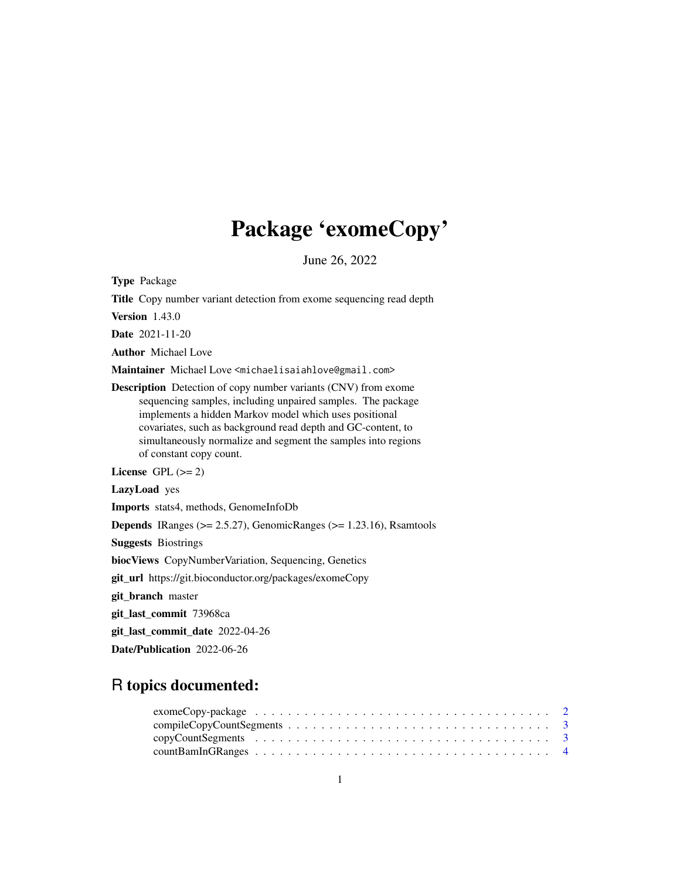# Package 'exomeCopy'

June 26, 2022

<span id="page-0-0"></span>Type Package

Title Copy number variant detection from exome sequencing read depth

Version 1.43.0

Date 2021-11-20

Author Michael Love

Maintainer Michael Love <michaelisaiahlove@gmail.com>

Description Detection of copy number variants (CNV) from exome sequencing samples, including unpaired samples. The package implements a hidden Markov model which uses positional covariates, such as background read depth and GC-content, to simultaneously normalize and segment the samples into regions of constant copy count.

License GPL  $(>= 2)$ 

LazyLoad yes

Imports stats4, methods, GenomeInfoDb

**Depends** IRanges ( $> = 2.5.27$ ), GenomicRanges ( $> = 1.23.16$ ), Rsamtools

Suggests Biostrings

biocViews CopyNumberVariation, Sequencing, Genetics

git\_url https://git.bioconductor.org/packages/exomeCopy

git\_branch master

git\_last\_commit 73968ca

git\_last\_commit\_date 2022-04-26

Date/Publication 2022-06-26

# R topics documented:

| $exomeCopy\text{-}package \dots \dots \dots \dots \dots \dots \dots \dots \dots \dots \dots \dots \dots \dots \dots \dots$ |  |
|----------------------------------------------------------------------------------------------------------------------------|--|
| $compileCopyCount Segments \dots \dots \dots \dots \dots \dots \dots \dots \dots \dots \dots \dots \dots$                  |  |
|                                                                                                                            |  |
|                                                                                                                            |  |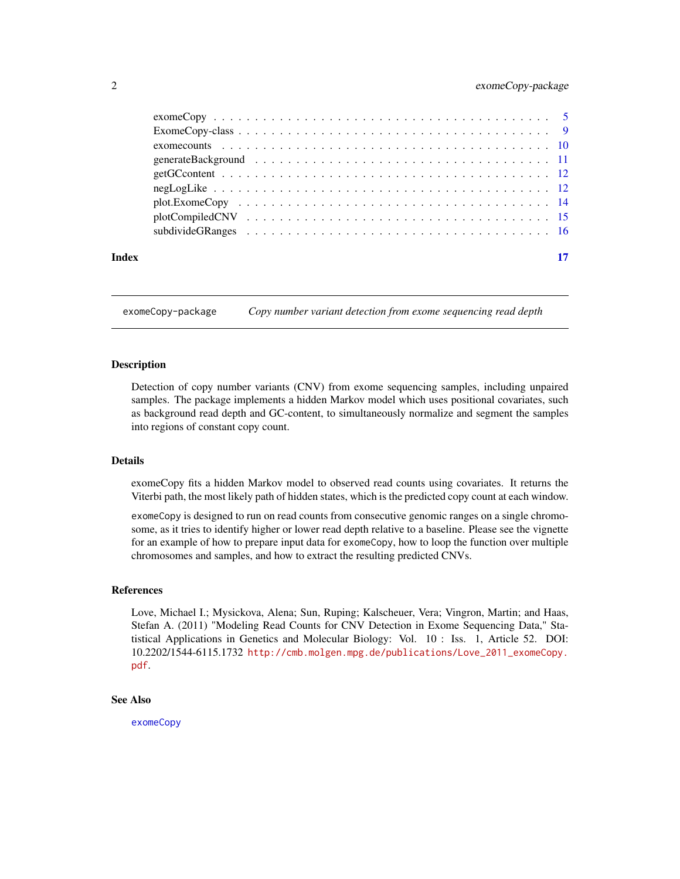# <span id="page-1-0"></span>2 exomeCopy-package

| Index |  |
|-------|--|

exomeCopy-package *Copy number variant detection from exome sequencing read depth*

# Description

Detection of copy number variants (CNV) from exome sequencing samples, including unpaired samples. The package implements a hidden Markov model which uses positional covariates, such as background read depth and GC-content, to simultaneously normalize and segment the samples into regions of constant copy count.

# Details

exomeCopy fits a hidden Markov model to observed read counts using covariates. It returns the Viterbi path, the most likely path of hidden states, which is the predicted copy count at each window.

exomeCopy is designed to run on read counts from consecutive genomic ranges on a single chromosome, as it tries to identify higher or lower read depth relative to a baseline. Please see the vignette for an example of how to prepare input data for exomeCopy, how to loop the function over multiple chromosomes and samples, and how to extract the resulting predicted CNVs.

#### References

Love, Michael I.; Mysickova, Alena; Sun, Ruping; Kalscheuer, Vera; Vingron, Martin; and Haas, Stefan A. (2011) "Modeling Read Counts for CNV Detection in Exome Sequencing Data," Statistical Applications in Genetics and Molecular Biology: Vol. 10 : Iss. 1, Article 52. DOI: 10.2202/1544-6115.1732 [http://cmb.molgen.mpg.de/publications/Love\\_2011\\_exomeCopy.](http://cmb.molgen.mpg.de/publications/Love_2011_exomeCopy.pdf) [pdf](http://cmb.molgen.mpg.de/publications/Love_2011_exomeCopy.pdf).

# See Also

[exomeCopy](#page-4-1)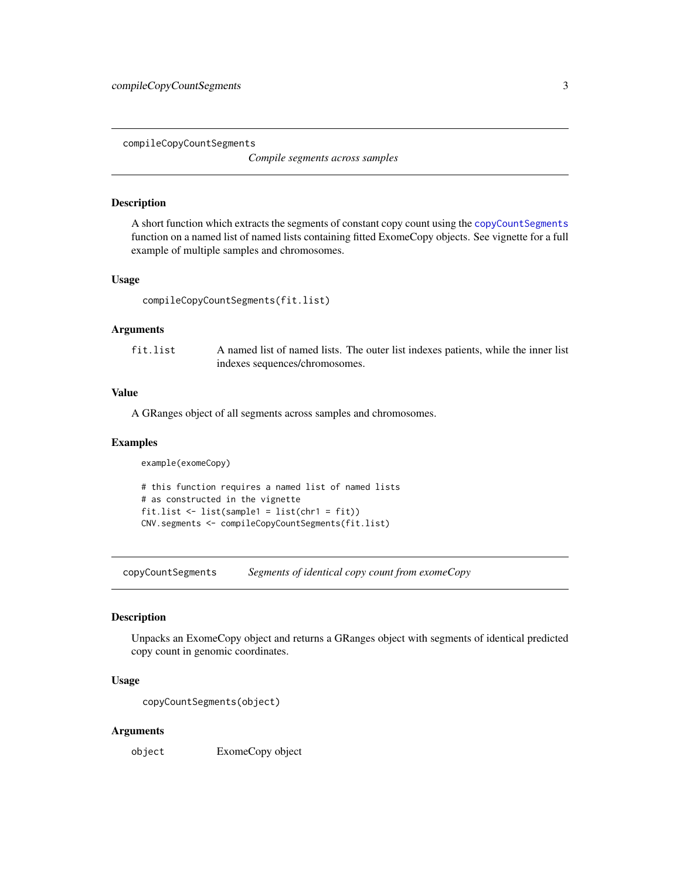<span id="page-2-2"></span><span id="page-2-0"></span>compileCopyCountSegments

*Compile segments across samples*

# Description

A short function which extracts the segments of constant copy count using the [copyCountSegments](#page-2-1) function on a named list of named lists containing fitted ExomeCopy objects. See vignette for a full example of multiple samples and chromosomes.

# Usage

```
compileCopyCountSegments(fit.list)
```
# Arguments

fit.list A named list of named lists. The outer list indexes patients, while the inner list indexes sequences/chromosomes.

# Value

A GRanges object of all segments across samples and chromosomes.

#### Examples

example(exomeCopy)

```
# this function requires a named list of named lists
# as constructed in the vignette
fit.list <- list(sample1 = list(chr1 = fit))
CNV.segments <- compileCopyCountSegments(fit.list)
```
<span id="page-2-1"></span>copyCountSegments *Segments of identical copy count from exomeCopy*

# Description

Unpacks an ExomeCopy object and returns a GRanges object with segments of identical predicted copy count in genomic coordinates.

# Usage

```
copyCountSegments(object)
```
#### Arguments

object ExomeCopy object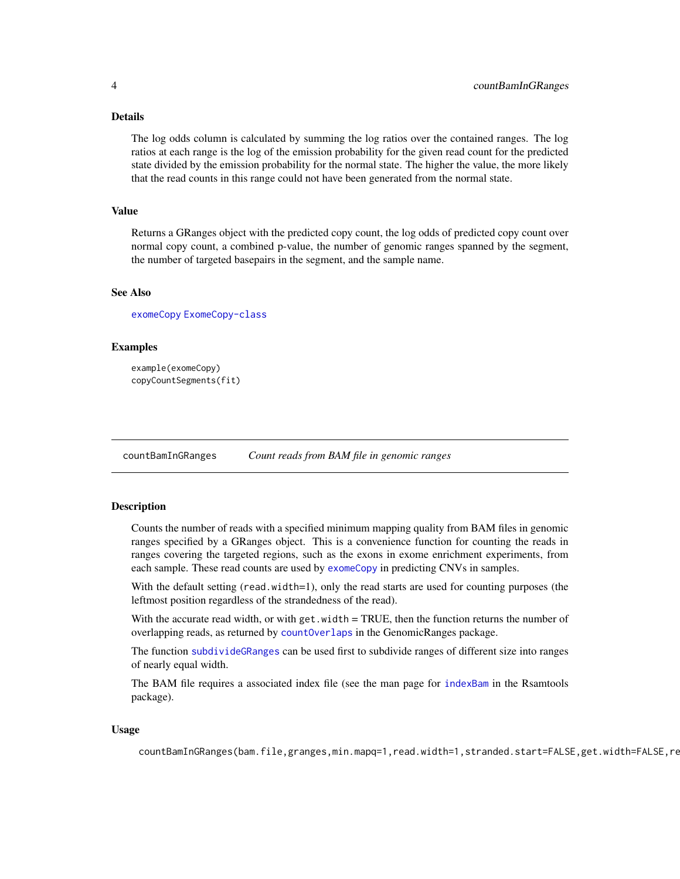# <span id="page-3-0"></span>Details

The log odds column is calculated by summing the log ratios over the contained ranges. The log ratios at each range is the log of the emission probability for the given read count for the predicted state divided by the emission probability for the normal state. The higher the value, the more likely that the read counts in this range could not have been generated from the normal state.

# Value

Returns a GRanges object with the predicted copy count, the log odds of predicted copy count over normal copy count, a combined p-value, the number of genomic ranges spanned by the segment, the number of targeted basepairs in the segment, and the sample name.

# See Also

[exomeCopy](#page-4-1) [ExomeCopy-class](#page-8-1)

# Examples

```
example(exomeCopy)
copyCountSegments(fit)
```
<span id="page-3-1"></span>countBamInGRanges *Count reads from BAM file in genomic ranges*

# Description

Counts the number of reads with a specified minimum mapping quality from BAM files in genomic ranges specified by a GRanges object. This is a convenience function for counting the reads in ranges covering the targeted regions, such as the exons in exome enrichment experiments, from each sample. These read counts are used by [exomeCopy](#page-4-1) in predicting CNVs in samples.

With the default setting (read.width=1), only the read starts are used for counting purposes (the leftmost position regardless of the strandedness of the read).

With the accurate read width, or with  $get$ . width = TRUE, then the function returns the number of overlapping reads, as returned by [countOverlaps](#page-0-0) in the GenomicRanges package.

The function [subdivideGRanges](#page-15-1) can be used first to subdivide ranges of different size into ranges of nearly equal width.

The BAM file requires a associated index file (see the man page for [indexBam](#page-0-0) in the Rsamtools package).

# Usage

countBamInGRanges(bam.file,granges,min.mapq=1,read.width=1,stranded.start=FALSE,get.width=FALSE,re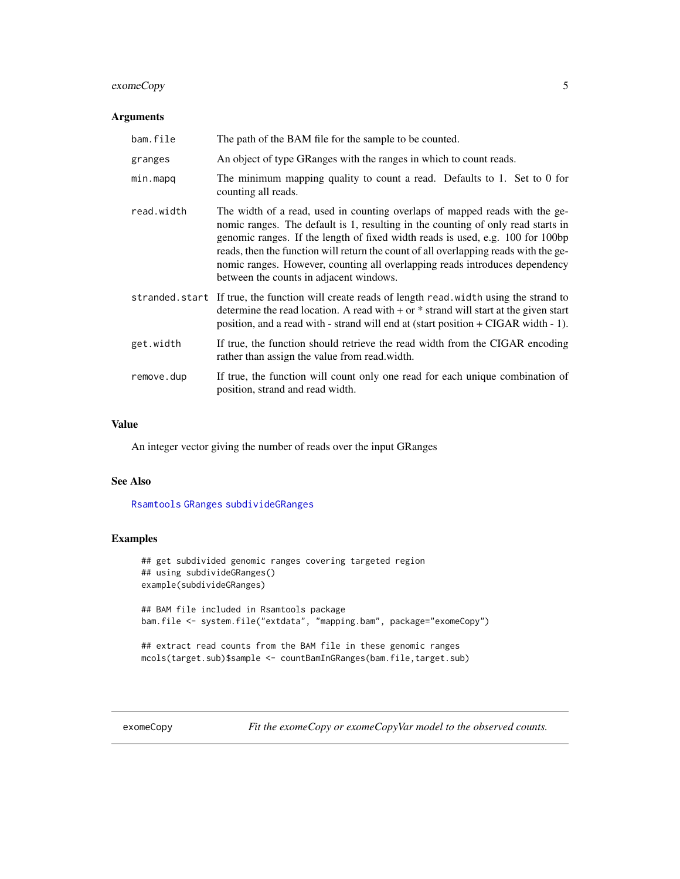# <span id="page-4-0"></span>exomeCopy 5

# Arguments

| bam.file   | The path of the BAM file for the sample to be counted.                                                                                                                                                                                                                                                                                                                                                                                                              |
|------------|---------------------------------------------------------------------------------------------------------------------------------------------------------------------------------------------------------------------------------------------------------------------------------------------------------------------------------------------------------------------------------------------------------------------------------------------------------------------|
| granges    | An object of type GRanges with the ranges in which to count reads.                                                                                                                                                                                                                                                                                                                                                                                                  |
| min.mapq   | The minimum mapping quality to count a read. Defaults to 1. Set to 0 for<br>counting all reads.                                                                                                                                                                                                                                                                                                                                                                     |
| read.width | The width of a read, used in counting overlaps of mapped reads with the ge-<br>nomic ranges. The default is 1, resulting in the counting of only read starts in<br>genomic ranges. If the length of fixed width reads is used, e.g. 100 for 100bp<br>reads, then the function will return the count of all overlapping reads with the ge-<br>nomic ranges. However, counting all overlapping reads introduces dependency<br>between the counts in adjacent windows. |
|            | stranded.start If true, the function will create reads of length read.width using the strand to<br>determine the read location. A read with $+$ or $*$ strand will start at the given start<br>position, and a read with - strand will end at (start position + CIGAR width - 1).                                                                                                                                                                                   |
| get.width  | If true, the function should retrieve the read width from the CIGAR encoding<br>rather than assign the value from read width.                                                                                                                                                                                                                                                                                                                                       |
| remove.dup | If true, the function will count only one read for each unique combination of<br>position, strand and read width.                                                                                                                                                                                                                                                                                                                                                   |

# Value

An integer vector giving the number of reads over the input GRanges

# See Also

[Rsamtools](#page-0-0) [GRanges](#page-0-0) [subdivideGRanges](#page-15-1)

# Examples

```
## get subdivided genomic ranges covering targeted region
## using subdivideGRanges()
example(subdivideGRanges)
## BAM file included in Rsamtools package
bam.file <- system.file("extdata", "mapping.bam", package="exomeCopy")
## extract read counts from the BAM file in these genomic ranges
mcols(target.sub)$sample <- countBamInGRanges(bam.file,target.sub)
```
<span id="page-4-1"></span>exomeCopy *Fit the exomeCopy or exomeCopyVar model to the observed counts.*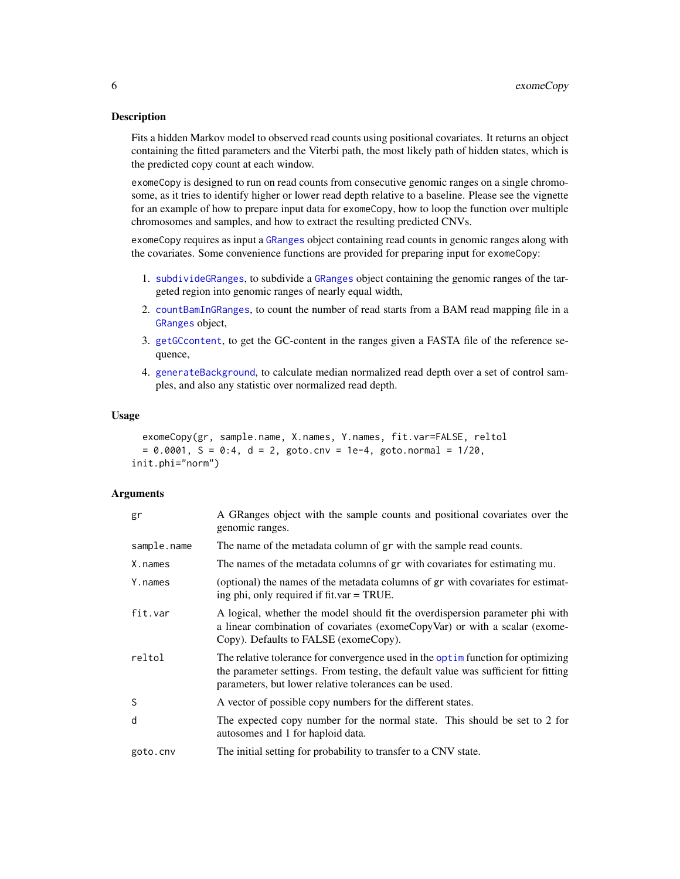# <span id="page-5-0"></span>Description

Fits a hidden Markov model to observed read counts using positional covariates. It returns an object containing the fitted parameters and the Viterbi path, the most likely path of hidden states, which is the predicted copy count at each window.

exomeCopy is designed to run on read counts from consecutive genomic ranges on a single chromosome, as it tries to identify higher or lower read depth relative to a baseline. Please see the vignette for an example of how to prepare input data for exomeCopy, how to loop the function over multiple chromosomes and samples, and how to extract the resulting predicted CNVs.

exomeCopy requires as input a [GRanges](#page-0-0) object containing read counts in genomic ranges along with the covariates. Some convenience functions are provided for preparing input for exomeCopy:

- 1. [subdivideGRanges](#page-15-1), to subdivide a [GRanges](#page-0-0) object containing the genomic ranges of the targeted region into genomic ranges of nearly equal width,
- 2. [countBamInGRanges](#page-3-1), to count the number of read starts from a BAM read mapping file in a [GRanges](#page-0-0) object,
- 3. [getGCcontent](#page-11-1), to get the GC-content in the ranges given a FASTA file of the reference sequence,
- 4. [generateBackground](#page-10-1), to calculate median normalized read depth over a set of control samples, and also any statistic over normalized read depth.

#### Usage

```
exomeCopy(gr, sample.name, X.names, Y.names, fit.var=FALSE, reltol
 = 0.0001, S = 0:4, d = 2, goto.cnv = 1e-4, goto.normal = 1/20,
init.phi="norm")
```
# Arguments

| gr          | A GRanges object with the sample counts and positional covariates over the<br>genomic ranges.                                                                                                                                     |  |  |  |
|-------------|-----------------------------------------------------------------------------------------------------------------------------------------------------------------------------------------------------------------------------------|--|--|--|
| sample.name | The name of the metadata column of gr with the sample read counts.                                                                                                                                                                |  |  |  |
| X.names     | The names of the metadata columns of gr with covariates for estimating mu.                                                                                                                                                        |  |  |  |
| Y.names     | (optional) the names of the metadata columns of gr with covariates for estimat-<br>ing phi, only required if fit.var = TRUE.                                                                                                      |  |  |  |
| fit.var     | A logical, whether the model should fit the overdispersion parameter phi with<br>a linear combination of covariates (exomeCopyVar) or with a scalar (exome-<br>Copy). Defaults to FALSE (exomeCopy).                              |  |  |  |
| reltol      | The relative tolerance for convergence used in the optime function for optimizing<br>the parameter settings. From testing, the default value was sufficient for fitting<br>parameters, but lower relative tolerances can be used. |  |  |  |
| S           | A vector of possible copy numbers for the different states.                                                                                                                                                                       |  |  |  |
| d           | The expected copy number for the normal state. This should be set to 2 for<br>autosomes and 1 for haploid data.                                                                                                                   |  |  |  |
| goto.cnv    | The initial setting for probability to transfer to a CNV state.                                                                                                                                                                   |  |  |  |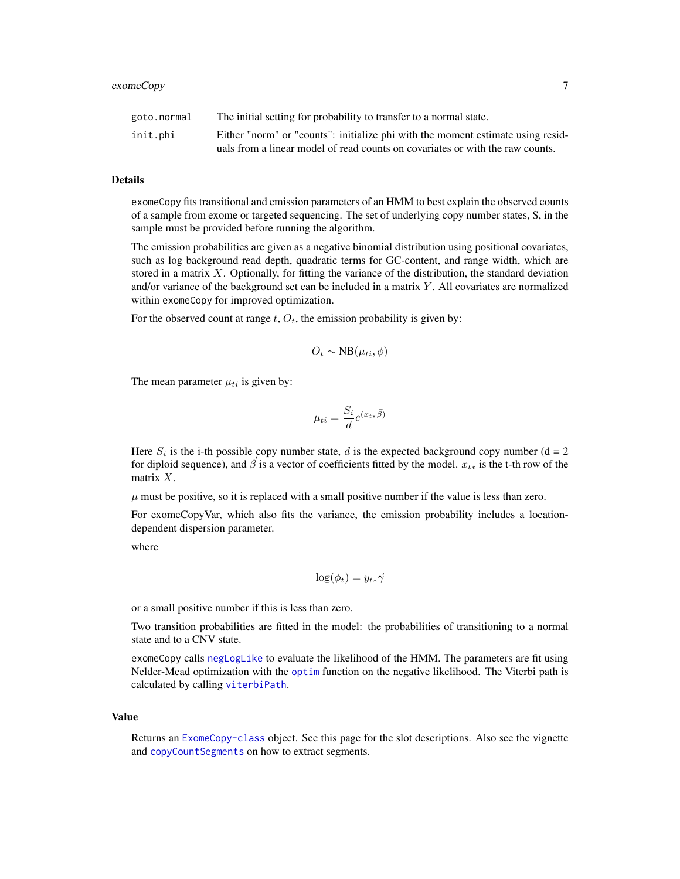# <span id="page-6-0"></span>exomeCopy 7

| goto.normal | The initial setting for probability to transfer to a normal state.              |
|-------------|---------------------------------------------------------------------------------|
| init.phi    | Either "norm" or "counts": initialize phi with the moment estimate using resid- |
|             | uals from a linear model of read counts on covariates or with the raw counts.   |

#### Details

exomeCopy fits transitional and emission parameters of an HMM to best explain the observed counts of a sample from exome or targeted sequencing. The set of underlying copy number states, S, in the sample must be provided before running the algorithm.

The emission probabilities are given as a negative binomial distribution using positional covariates, such as log background read depth, quadratic terms for GC-content, and range width, which are stored in a matrix  $X$ . Optionally, for fitting the variance of the distribution, the standard deviation and/or variance of the background set can be included in a matrix  $Y$ . All covariates are normalized within exomeCopy for improved optimization.

For the observed count at range  $t$ ,  $O_t$ , the emission probability is given by:

$$
O_t \sim NB(\mu_{ti}, \phi)
$$

The mean parameter  $\mu_{ti}$  is given by:

$$
\mu_{ti} = \frac{S_i}{d} e^{(x_{t*}\vec{\beta})}
$$

Here  $S_i$  is the i-th possible copy number state, d is the expected background copy number (d = 2 for diploid sequence), and  $\vec{\beta}$  is a vector of coefficients fitted by the model.  $x_{t*}$  is the t-th row of the matrix  $X$ .

 $\mu$  must be positive, so it is replaced with a small positive number if the value is less than zero.

For exomeCopyVar, which also fits the variance, the emission probability includes a locationdependent dispersion parameter.

where

$$
\log(\phi_t) = y_{t\ast} \vec{\gamma}
$$

or a small positive number if this is less than zero.

Two transition probabilities are fitted in the model: the probabilities of transitioning to a normal state and to a CNV state.

exomeCopy calls [negLogLike](#page-11-2) to evaluate the likelihood of the HMM. The parameters are fit using Nelder-Mead optimization with the [optim](#page-0-0) function on the negative likelihood. The Viterbi path is calculated by calling [viterbiPath](#page-11-3).

#### Value

Returns an [ExomeCopy-class](#page-8-1) object. See this page for the slot descriptions. Also see the vignette and [copyCountSegments](#page-2-1) on how to extract segments.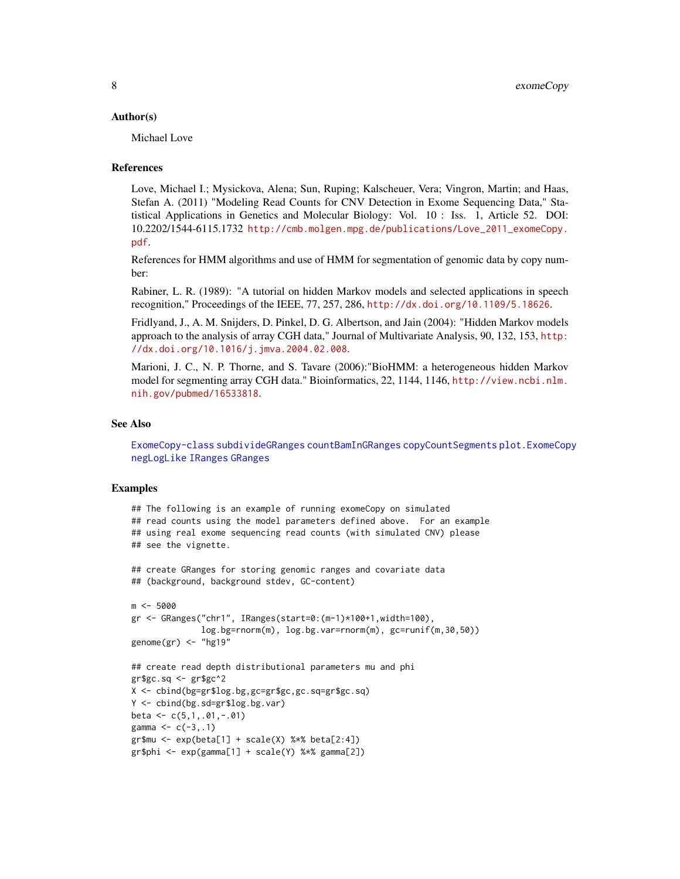# <span id="page-7-0"></span>Author(s)

Michael Love

# References

Love, Michael I.; Mysickova, Alena; Sun, Ruping; Kalscheuer, Vera; Vingron, Martin; and Haas, Stefan A. (2011) "Modeling Read Counts for CNV Detection in Exome Sequencing Data," Statistical Applications in Genetics and Molecular Biology: Vol. 10 : Iss. 1, Article 52. DOI: 10.2202/1544-6115.1732 [http://cmb.molgen.mpg.de/publications/Love\\_2011\\_exomeCopy.](http://cmb.molgen.mpg.de/publications/Love_2011_exomeCopy.pdf) [pdf](http://cmb.molgen.mpg.de/publications/Love_2011_exomeCopy.pdf).

References for HMM algorithms and use of HMM for segmentation of genomic data by copy number:

Rabiner, L. R. (1989): "A tutorial on hidden Markov models and selected applications in speech recognition," Proceedings of the IEEE, 77, 257, 286, <http://dx.doi.org/10.1109/5.18626>.

Fridlyand, J., A. M. Snijders, D. Pinkel, D. G. Albertson, and Jain (2004): "Hidden Markov models approach to the analysis of array CGH data," Journal of Multivariate Analysis, 90, 132, 153, [http:](http://dx.doi.org/10.1016/j.jmva.2004.02.008) [//dx.doi.org/10.1016/j.jmva.2004.02.008](http://dx.doi.org/10.1016/j.jmva.2004.02.008).

Marioni, J. C., N. P. Thorne, and S. Tavare (2006):"BioHMM: a heterogeneous hidden Markov model for segmenting array CGH data." Bioinformatics, 22, 1144, 1146, [http://view.ncbi.nlm.](http://view.ncbi.nlm.nih.gov/pubmed/16533818) [nih.gov/pubmed/16533818](http://view.ncbi.nlm.nih.gov/pubmed/16533818).

# See Also

[ExomeCopy-class](#page-8-1) [subdivideGRanges](#page-15-1) [countBamInGRanges](#page-3-1) [copyCountSegments](#page-2-1) [plot.ExomeCopy](#page-13-1) [negLogLike](#page-11-2) [IRanges](#page-0-0) [GRanges](#page-0-0)

```
## The following is an example of running exomeCopy on simulated
## read counts using the model parameters defined above. For an example
## using real exome sequencing read counts (with simulated CNV) please
## see the vignette.
## create GRanges for storing genomic ranges and covariate data
## (background, background stdev, GC-content)
m <- 5000
gr <- GRanges("chr1", IRanges(start=0:(m-1)*100+1,width=100),
              log.bg=rnorm(m), log.bg.var=rnorm(m), gc=runif(m,30,50))
genome(gr) <- "hg19"
## create read depth distributional parameters mu and phi
gr\gC.sq < -gr\gC^2
X <- cbind(bg=gr$log.bg,gc=gr$gc,gc.sq=gr$gc.sq)
Y <- cbind(bg.sd=gr$log.bg.var)
beta <- c(5,1,.01,-.01)
gamma <-c(-3, .1)gr$mu \leftarrow exp(beta[1] + scale(X) % $*$beta[2:4])gr$phi <- exp(gamma[1] + scale(Y) %*% gamma[2])
```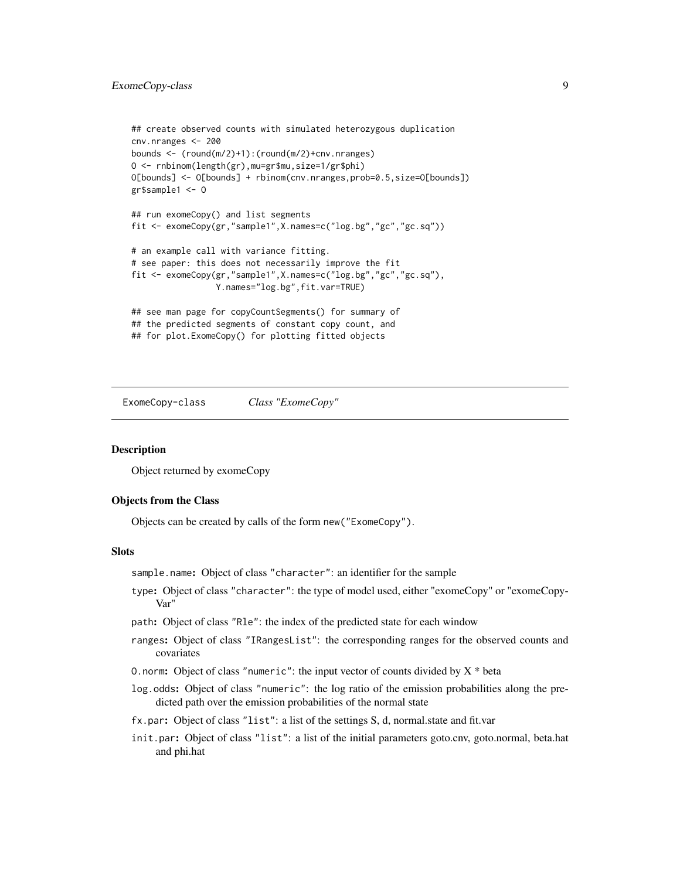# <span id="page-8-0"></span>ExomeCopy-class 9

```
## create observed counts with simulated heterozygous duplication
cnv.nranges <- 200
bounds <- (round(m/2)+1):(round(m/2)+cnv.nranges)
O <- rnbinom(length(gr),mu=gr$mu,size=1/gr$phi)
O[bounds] <- O[bounds] + rbinom(cnv.nranges,prob=0.5,size=O[bounds])
gr$sample1 <- O
## run exomeCopy() and list segments
fit <- exomeCopy(gr,"sample1",X.names=c("log.bg","gc","gc.sq"))
# an example call with variance fitting.
# see paper: this does not necessarily improve the fit
fit <- exomeCopy(gr,"sample1",X.names=c("log.bg","gc","gc.sq"),
                 Y.names="log.bg",fit.var=TRUE)
## see man page for copyCountSegments() for summary of
## the predicted segments of constant copy count, and
## for plot.ExomeCopy() for plotting fitted objects
```
<span id="page-8-1"></span>ExomeCopy-class *Class "ExomeCopy"*

# Description

Object returned by exomeCopy

# Objects from the Class

Objects can be created by calls of the form new("ExomeCopy").

# **Slots**

sample.name: Object of class "character": an identifier for the sample

type: Object of class "character": the type of model used, either "exomeCopy" or "exomeCopy-Var"

path: Object of class "Rle": the index of the predicted state for each window

- ranges: Object of class "IRangesList": the corresponding ranges for the observed counts and covariates
- O.norm: Object of class "numeric": the input vector of counts divided by  $X^*$  beta
- log.odds: Object of class "numeric": the log ratio of the emission probabilities along the predicted path over the emission probabilities of the normal state
- fx.par: Object of class "list": a list of the settings S, d, normal.state and fit.var
- init.par: Object of class "list": a list of the initial parameters goto.cnv, goto.normal, beta.hat and phi.hat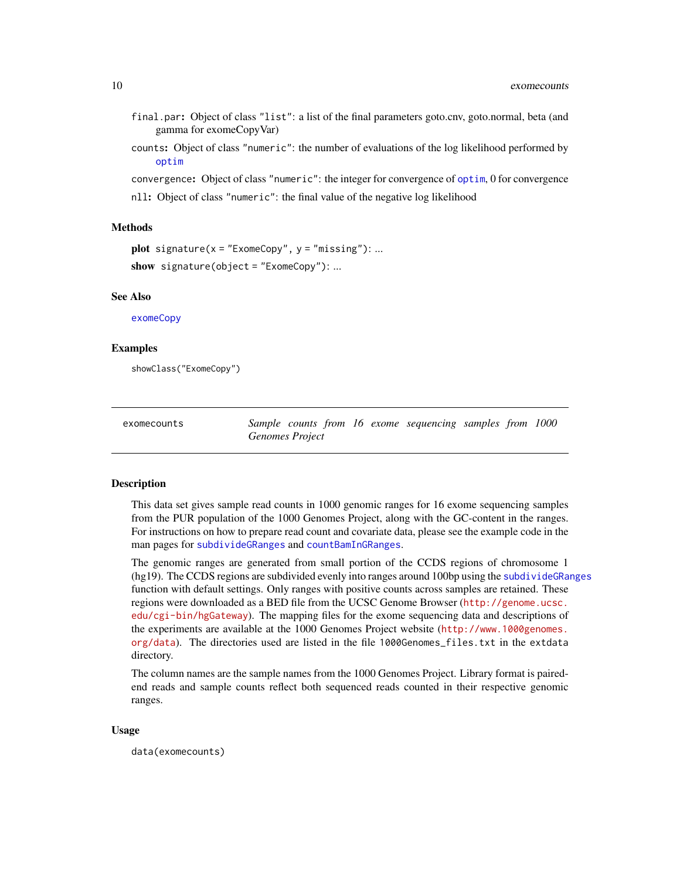- <span id="page-9-0"></span>final.par: Object of class "list": a list of the final parameters goto.cnv, goto.normal, beta (and gamma for exomeCopyVar)
- counts: Object of class "numeric": the number of evaluations of the log likelihood performed by [optim](#page-0-0)
- convergence: Object of class "numeric": the integer for convergence of [optim](#page-0-0), 0 for convergence nll: Object of class "numeric": the final value of the negative log likelihood

# Methods

```
plot signature(x = "ExomeCopy", y = "missing"): ...
show signature(object = "ExomeCopy"): ...
```
# See Also

[exomeCopy](#page-4-1)

# Examples

showClass("ExomeCopy")

| exomecounts |                 |  |  | Sample counts from 16 exome sequencing samples from 1000 |  |  |
|-------------|-----------------|--|--|----------------------------------------------------------|--|--|
|             | Genomes Project |  |  |                                                          |  |  |

#### Description

This data set gives sample read counts in 1000 genomic ranges for 16 exome sequencing samples from the PUR population of the 1000 Genomes Project, along with the GC-content in the ranges. For instructions on how to prepare read count and covariate data, please see the example code in the man pages for [subdivideGRanges](#page-15-1) and [countBamInGRanges](#page-3-1).

The genomic ranges are generated from small portion of the CCDS regions of chromosome 1 (hg19). The CCDS regions are subdivided evenly into ranges around 100bp using the [subdivideGRanges](#page-15-1) function with default settings. Only ranges with positive counts across samples are retained. These regions were downloaded as a BED file from the UCSC Genome Browser ([http://genome.ucsc.](http://genome.ucsc.edu/cgi-bin/hgGateway) [edu/cgi-bin/hgGateway](http://genome.ucsc.edu/cgi-bin/hgGateway)). The mapping files for the exome sequencing data and descriptions of the experiments are available at the 1000 Genomes Project website ([http://www.1000genomes.](http://www.1000genomes.org/data) [org/data](http://www.1000genomes.org/data)). The directories used are listed in the file 1000Genomes\_files.txt in the extdata directory.

The column names are the sample names from the 1000 Genomes Project. Library format is pairedend reads and sample counts reflect both sequenced reads counted in their respective genomic ranges.

#### Usage

data(exomecounts)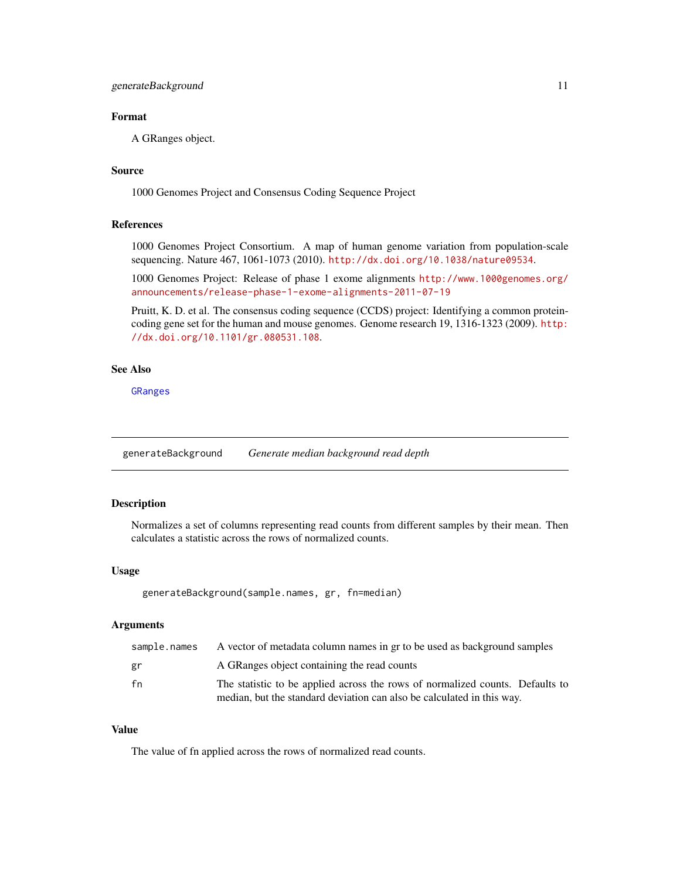# <span id="page-10-0"></span>Format

A GRanges object.

# Source

1000 Genomes Project and Consensus Coding Sequence Project

# References

1000 Genomes Project Consortium. A map of human genome variation from population-scale sequencing. Nature 467, 1061-1073 (2010). <http://dx.doi.org/10.1038/nature09534>.

1000 Genomes Project: Release of phase 1 exome alignments [http://www.1000genomes.org/](http://www.1000genomes.org/announcements/release-phase-1-exome-alignments-2011-07-19) [announcements/release-phase-1-exome-alignments-2011-07-19](http://www.1000genomes.org/announcements/release-phase-1-exome-alignments-2011-07-19)

Pruitt, K. D. et al. The consensus coding sequence (CCDS) project: Identifying a common proteincoding gene set for the human and mouse genomes. Genome research 19, 1316-1323 (2009). [http:](http://dx.doi.org/10.1101/gr.080531.108) [//dx.doi.org/10.1101/gr.080531.108](http://dx.doi.org/10.1101/gr.080531.108).

# See Also

[GRanges](#page-0-0)

<span id="page-10-1"></span>generateBackground *Generate median background read depth*

# Description

Normalizes a set of columns representing read counts from different samples by their mean. Then calculates a statistic across the rows of normalized counts.

# Usage

```
generateBackground(sample.names, gr, fn=median)
```
# Arguments

| sample.names | A vector of metadata column names in gr to be used as background samples      |
|--------------|-------------------------------------------------------------------------------|
| gr           | A GRanges object containing the read counts                                   |
| fn           | The statistic to be applied across the rows of normalized counts. Defaults to |
|              | median, but the standard deviation can also be calculated in this way.        |

#### Value

The value of fn applied across the rows of normalized read counts.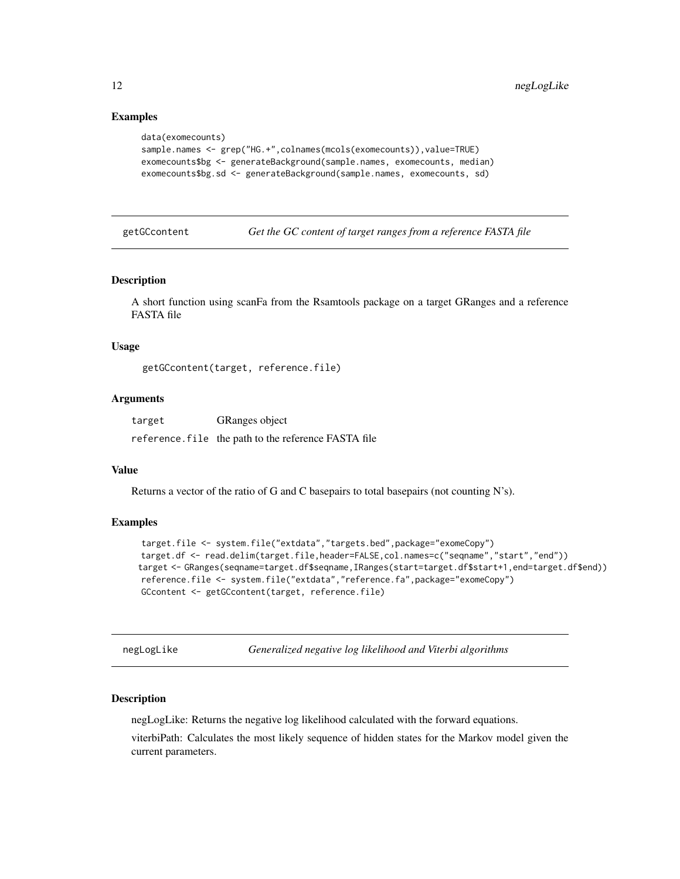# Examples

```
data(exomecounts)
sample.names <- grep("HG.+",colnames(mcols(exomecounts)),value=TRUE)
exomecounts$bg <- generateBackground(sample.names, exomecounts, median)
exomecounts$bg.sd <- generateBackground(sample.names, exomecounts, sd)
```
<span id="page-11-1"></span>getGCcontent *Get the GC content of target ranges from a reference FASTA file*

# Description

A short function using scanFa from the Rsamtools package on a target GRanges and a reference FASTA file

# Usage

getGCcontent(target, reference.file)

# Arguments

target GRanges object

reference.file the path to the reference FASTA file

# Value

Returns a vector of the ratio of G and C basepairs to total basepairs (not counting N's).

# Examples

```
target.file <- system.file("extdata","targets.bed",package="exomeCopy")
target.df <- read.delim(target.file,header=FALSE,col.names=c("seqname","start","end"))
target <- GRanges(seqname=target.df$seqname,IRanges(start=target.df$start+1,end=target.df$end))
reference.file <- system.file("extdata","reference.fa",package="exomeCopy")
GCcontent <- getGCcontent(target, reference.file)
```
<span id="page-11-2"></span>negLogLike *Generalized negative log likelihood and Viterbi algorithms*

# <span id="page-11-3"></span>**Description**

negLogLike: Returns the negative log likelihood calculated with the forward equations.

viterbiPath: Calculates the most likely sequence of hidden states for the Markov model given the current parameters.

<span id="page-11-0"></span>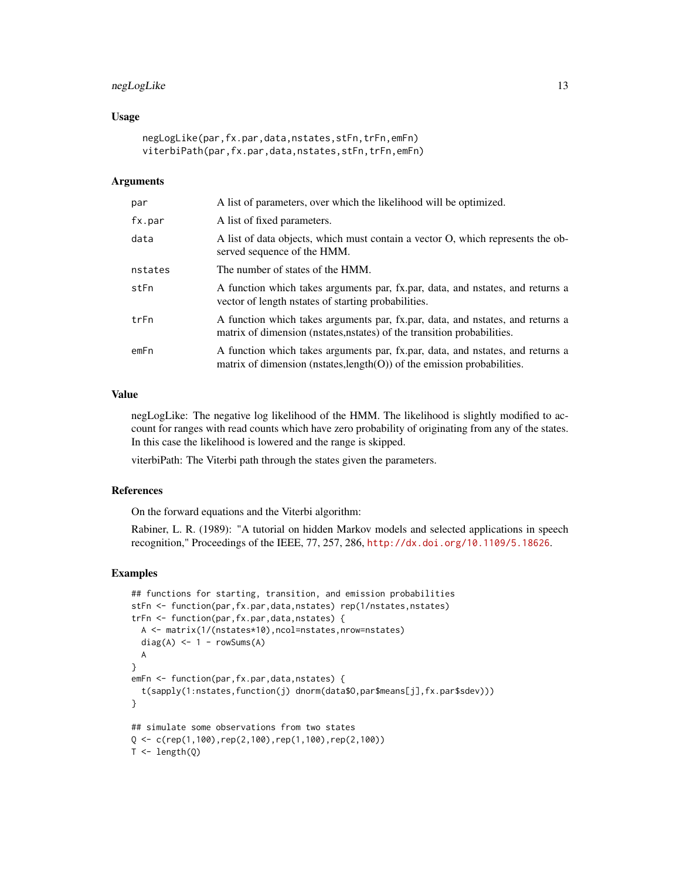# negLogLike 13

# Usage

```
negLogLike(par,fx.par,data,nstates,stFn,trFn,emFn)
viterbiPath(par,fx.par,data,nstates,stFn,trFn,emFn)
```
# Arguments

| par     | A list of parameters, over which the likelihood will be optimized.                                                                                           |
|---------|--------------------------------------------------------------------------------------------------------------------------------------------------------------|
| fx.par  | A list of fixed parameters.                                                                                                                                  |
| data    | A list of data objects, which must contain a vector O, which represents the ob-<br>served sequence of the HMM.                                               |
| nstates | The number of states of the HMM.                                                                                                                             |
| stFn    | A function which takes arguments par, fx.par, data, and nstates, and returns a<br>vector of length natates of starting probabilities.                        |
| trFn    | A function which takes arguments par, fx.par, data, and nstates, and returns a<br>matrix of dimension (nstates, nstates) of the transition probabilities.    |
| emFn    | A function which takes arguments par, fx.par, data, and nstates, and returns a<br>matrix of dimension (nstates, $length(O)$ ) of the emission probabilities. |

#### Value

negLogLike: The negative log likelihood of the HMM. The likelihood is slightly modified to account for ranges with read counts which have zero probability of originating from any of the states. In this case the likelihood is lowered and the range is skipped.

viterbiPath: The Viterbi path through the states given the parameters.

#### References

On the forward equations and the Viterbi algorithm:

Rabiner, L. R. (1989): "A tutorial on hidden Markov models and selected applications in speech recognition," Proceedings of the IEEE, 77, 257, 286, <http://dx.doi.org/10.1109/5.18626>.

```
## functions for starting, transition, and emission probabilities
stFn <- function(par,fx.par,data,nstates) rep(1/nstates,nstates)
trFn <- function(par,fx.par,data,nstates) {
  A <- matrix(1/(nstates*10),ncol=nstates,nrow=nstates)
  diag(A) <- 1 - rowSums(A)
  A
}
emFn <- function(par,fx.par,data,nstates) {
  t(sapply(1:nstates,function(j) dnorm(data$O,par$means[j],fx.par$sdev)))
}
## simulate some observations from two states
Q \leq c (rep(1,100),rep(2,100),rep(1,100),rep(2,100))
T < - length(Q)
```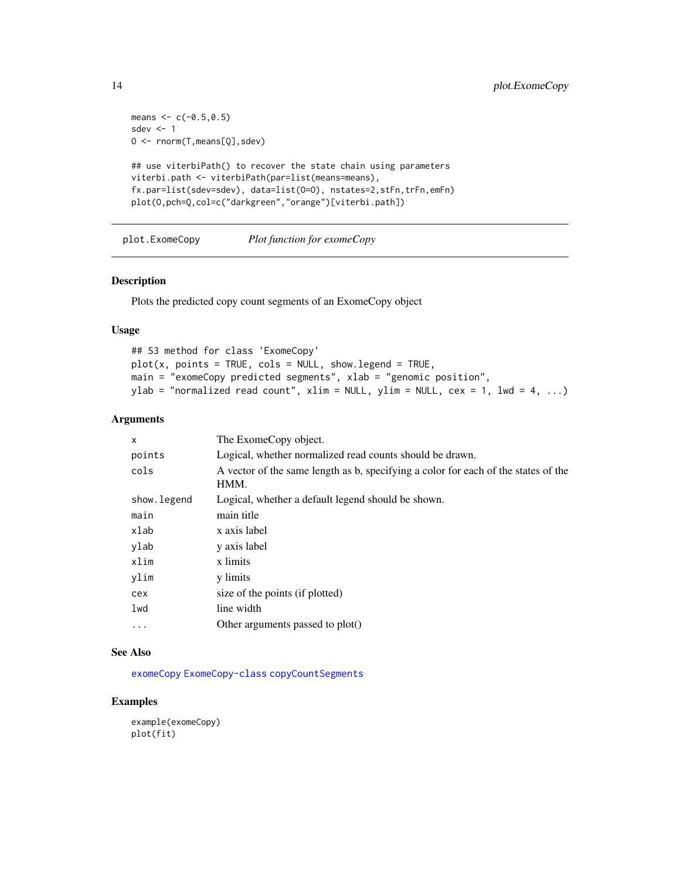```
means <-c(-0.5, 0.5)sdev <-1O <- rnorm(T,means[Q],sdev)
## use viterbiPath() to recover the state chain using parameters
viterbi.path <- viterbiPath(par=list(means=means),
fx.par=list(sdev=sdev), data=list(O=O), nstates=2,stFn,trFn,emFn)
plot(O,pch=Q,col=c("darkgreen","orange")[viterbi.path])
```
<span id="page-13-1"></span>plot.ExomeCopy *Plot function for exomeCopy*

# Description

Plots the predicted copy count segments of an ExomeCopy object

# Usage

```
## S3 method for class 'ExomeCopy'
plot(x, points = TRUE, cols = NULL, show.length = TRUE,main = "exomeCopy predicted segments", xlab = "genomic position",
ylab = "normalized read count", xlim = NULL, ylim = NULL, cex = 1, lwd = 4, ...)
```
# Arguments

| X           | The ExomeCopy object.                                                                      |
|-------------|--------------------------------------------------------------------------------------------|
| points      | Logical, whether normalized read counts should be drawn.                                   |
| cols        | A vector of the same length as b, specifying a color for each of the states of the<br>HMM. |
| show.legend | Logical, whether a default legend should be shown.                                         |
| main        | main title                                                                                 |
| xlab        | x axis label                                                                               |
| ylab        | y axis label                                                                               |
| xlim        | x limits                                                                                   |
| ylim        | y limits                                                                                   |
| cex         | size of the points (if plotted)                                                            |
| lwd         | line width                                                                                 |
| $\cdots$    | Other arguments passed to plot()                                                           |

# See Also

[exomeCopy](#page-4-1) [ExomeCopy-class](#page-8-1) [copyCountSegments](#page-2-1)

# Examples

example(exomeCopy) plot(fit)

<span id="page-13-0"></span>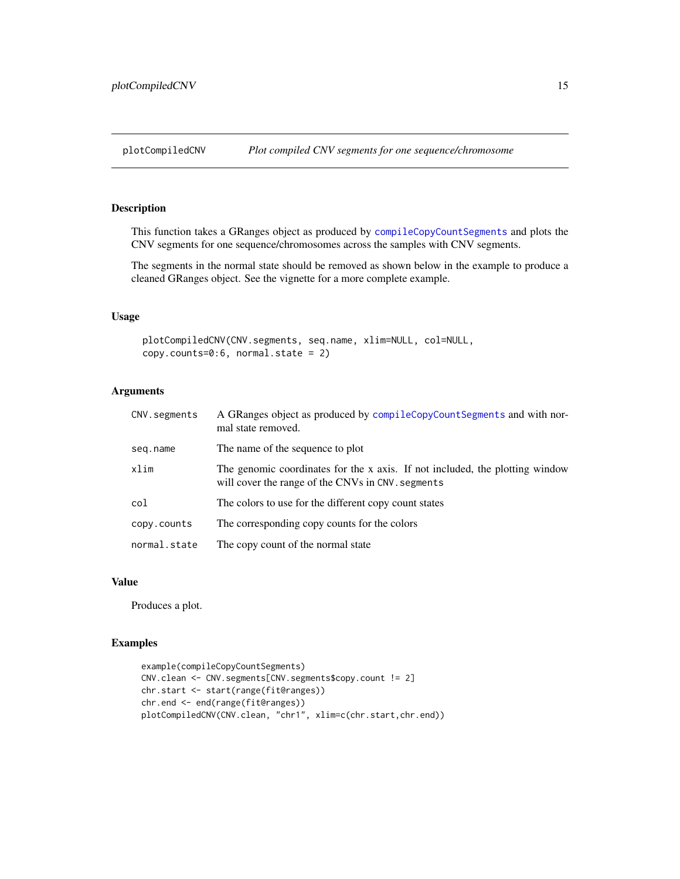# <span id="page-14-0"></span>Description

This function takes a GRanges object as produced by [compileCopyCountSegments](#page-2-2) and plots the CNV segments for one sequence/chromosomes across the samples with CNV segments.

The segments in the normal state should be removed as shown below in the example to produce a cleaned GRanges object. See the vignette for a more complete example.

# Usage

```
plotCompiledCNV(CNV.segments, seq.name, xlim=NULL, col=NULL,
copy.counts=0:6, normal.state = 2)
```
# Arguments

| CNV.segments | A GRanges object as produced by compileCopyCountSegments and with nor-<br>mal state removed.                                      |
|--------------|-----------------------------------------------------------------------------------------------------------------------------------|
| seq.name     | The name of the sequence to plot                                                                                                  |
| xlim         | The genomic coordinates for the x axis. If not included, the plotting window<br>will cover the range of the CNVs in CNV. segments |
| col          | The colors to use for the different copy count states                                                                             |
| copy.counts  | The corresponding copy counts for the colors                                                                                      |
| normal.state | The copy count of the normal state                                                                                                |

#### Value

Produces a plot.

```
example(compileCopyCountSegments)
CNV.clean <- CNV.segments[CNV.segments$copy.count != 2]
chr.start <- start(range(fit@ranges))
chr.end <- end(range(fit@ranges))
plotCompiledCNV(CNV.clean, "chr1", xlim=c(chr.start,chr.end))
```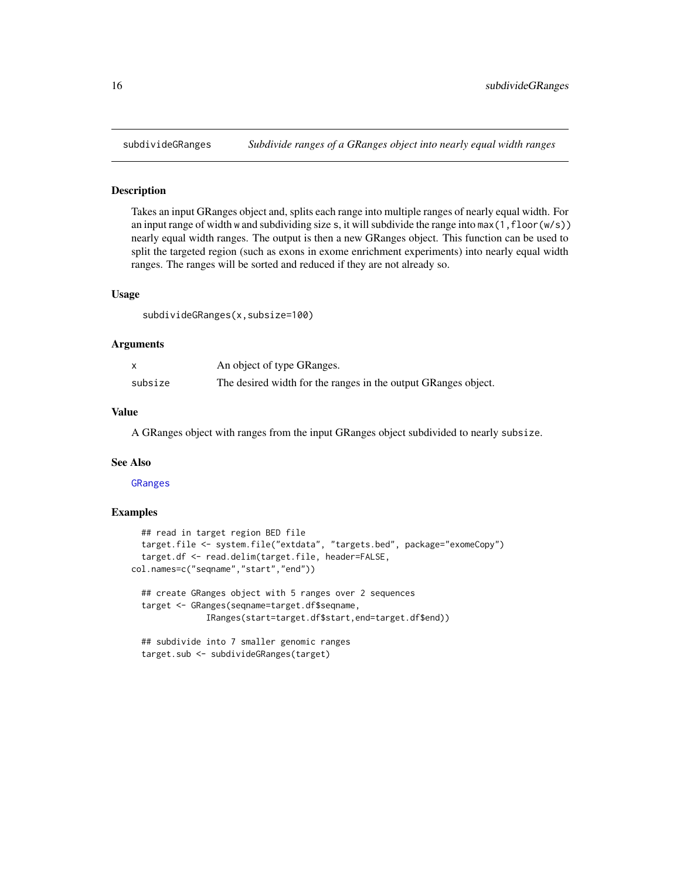<span id="page-15-1"></span><span id="page-15-0"></span>

# Description

Takes an input GRanges object and, splits each range into multiple ranges of nearly equal width. For an input range of width w and subdividing size s, it will subdivide the range into  $max(1,floor(w/s))$ nearly equal width ranges. The output is then a new GRanges object. This function can be used to split the targeted region (such as exons in exome enrichment experiments) into nearly equal width ranges. The ranges will be sorted and reduced if they are not already so.

### Usage

subdivideGRanges(x,subsize=100)

#### Arguments

|         | An object of type GRanges.                                     |
|---------|----------------------------------------------------------------|
| subsize | The desired width for the ranges in the output GRanges object. |

# Value

A GRanges object with ranges from the input GRanges object subdivided to nearly subsize.

# See Also

[GRanges](#page-0-0)

```
## read in target region BED file
 target.file <- system.file("extdata", "targets.bed", package="exomeCopy")
  target.df <- read.delim(target.file, header=FALSE,
col.names=c("seqname","start","end"))
 ## create GRanges object with 5 ranges over 2 sequences
 target <- GRanges(seqname=target.df$seqname,
               IRanges(start=target.df$start,end=target.df$end))
 ## subdivide into 7 smaller genomic ranges
 target.sub <- subdivideGRanges(target)
```